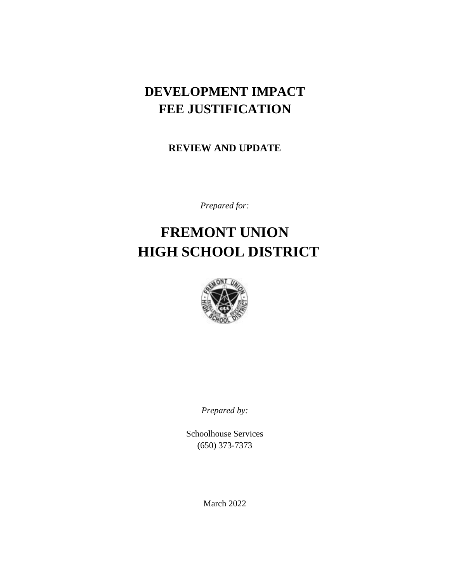# **DEVELOPMENT IMPACT FEE JUSTIFICATION**

**REVIEW AND UPDATE**

*Prepared for:*

# **FREMONT UNION HIGH SCHOOL DISTRICT**



*Prepared by:*

Schoolhouse Services (650) 373-7373

March 2022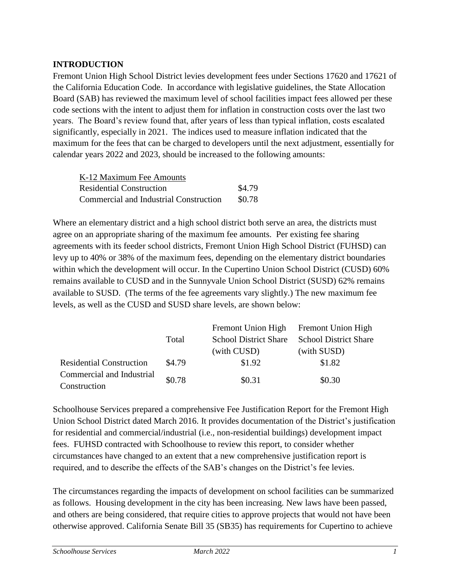# **INTRODUCTION**

Fremont Union High School District levies development fees under Sections 17620 and 17621 of the California Education Code. In accordance with legislative guidelines, the State Allocation Board (SAB) has reviewed the maximum level of school facilities impact fees allowed per these code sections with the intent to adjust them for inflation in construction costs over the last two years. The Board's review found that, after years of less than typical inflation, costs escalated significantly, especially in 2021. The indices used to measure inflation indicated that the maximum for the fees that can be charged to developers until the next adjustment, essentially for calendar years 2022 and 2023, should be increased to the following amounts:

| K-12 Maximum Fee Amounts               |        |
|----------------------------------------|--------|
| <b>Residential Construction</b>        | \$4.79 |
| Commercial and Industrial Construction | \$0.78 |

Where an elementary district and a high school district both serve an area, the districts must agree on an appropriate sharing of the maximum fee amounts. Per existing fee sharing agreements with its feeder school districts, Fremont Union High School District (FUHSD) can levy up to 40% or 38% of the maximum fees, depending on the elementary district boundaries within which the development will occur. In the Cupertino Union School District (CUSD) 60% remains available to CUSD and in the Sunnyvale Union School District (SUSD) 62% remains available to SUSD. (The terms of the fee agreements vary slightly.) The new maximum fee levels, as well as the CUSD and SUSD share levels, are shown below:

|                                 |        | Fremont Union High Fremont Union High |                              |
|---------------------------------|--------|---------------------------------------|------------------------------|
|                                 | Total  | <b>School District Share</b>          | <b>School District Share</b> |
|                                 |        | (with CUSD)                           | (with SUSD)                  |
| <b>Residential Construction</b> | \$4.79 | \$1.92                                | \$1.82                       |
| Commercial and Industrial       | \$0.78 | \$0.31                                | \$0.30                       |
| Construction                    |        |                                       |                              |

Schoolhouse Services prepared a comprehensive Fee Justification Report for the Fremont High Union School District dated March 2016. It provides documentation of the District's justification for residential and commercial/industrial (i.e., non-residential buildings) development impact fees. FUHSD contracted with Schoolhouse to review this report, to consider whether circumstances have changed to an extent that a new comprehensive justification report is required, and to describe the effects of the SAB's changes on the District's fee levies.

The circumstances regarding the impacts of development on school facilities can be summarized as follows. Housing development in the city has been increasing. New laws have been passed, and others are being considered, that require cities to approve projects that would not have been otherwise approved. California Senate Bill 35 (SB35) has requirements for Cupertino to achieve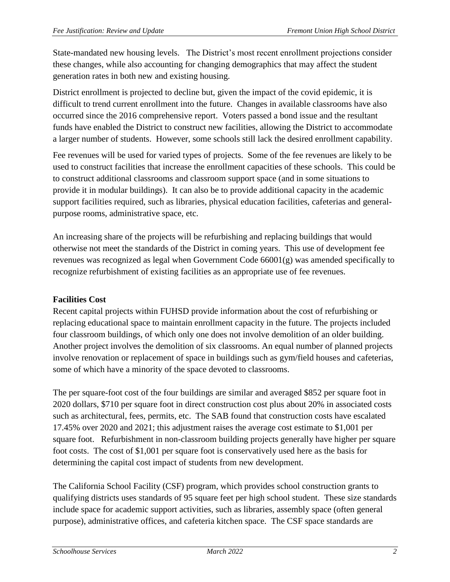State-mandated new housing levels. The District's most recent enrollment projections consider these changes, while also accounting for changing demographics that may affect the student generation rates in both new and existing housing.

District enrollment is projected to decline but, given the impact of the covid epidemic, it is difficult to trend current enrollment into the future. Changes in available classrooms have also occurred since the 2016 comprehensive report. Voters passed a bond issue and the resultant funds have enabled the District to construct new facilities, allowing the District to accommodate a larger number of students. However, some schools still lack the desired enrollment capability.

Fee revenues will be used for varied types of projects. Some of the fee revenues are likely to be used to construct facilities that increase the enrollment capacities of these schools. This could be to construct additional classrooms and classroom support space (and in some situations to provide it in modular buildings). It can also be to provide additional capacity in the academic support facilities required, such as libraries, physical education facilities, cafeterias and generalpurpose rooms, administrative space, etc.

An increasing share of the projects will be refurbishing and replacing buildings that would otherwise not meet the standards of the District in coming years. This use of development fee revenues was recognized as legal when Government Code 66001(g) was amended specifically to recognize refurbishment of existing facilities as an appropriate use of fee revenues.

#### **Facilities Cost**

Recent capital projects within FUHSD provide information about the cost of refurbishing or replacing educational space to maintain enrollment capacity in the future. The projects included four classroom buildings, of which only one does not involve demolition of an older building. Another project involves the demolition of six classrooms. An equal number of planned projects involve renovation or replacement of space in buildings such as gym/field houses and cafeterias, some of which have a minority of the space devoted to classrooms.

The per square-foot cost of the four buildings are similar and averaged \$852 per square foot in 2020 dollars, \$710 per square foot in direct construction cost plus about 20% in associated costs such as architectural, fees, permits, etc. The SAB found that construction costs have escalated 17.45% over 2020 and 2021; this adjustment raises the average cost estimate to \$1,001 per square foot. Refurbishment in non-classroom building projects generally have higher per square foot costs. The cost of \$1,001 per square foot is conservatively used here as the basis for determining the capital cost impact of students from new development.

The California School Facility (CSF) program, which provides school construction grants to qualifying districts uses standards of 95 square feet per high school student. These size standards include space for academic support activities, such as libraries, assembly space (often general purpose), administrative offices, and cafeteria kitchen space. The CSF space standards are